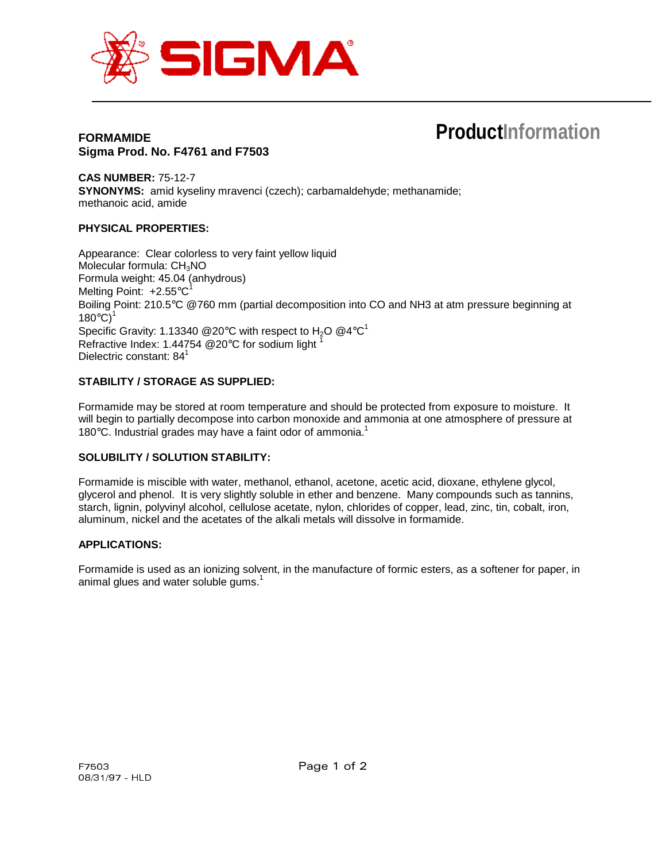

## **FORMAMIDE Sigma Prod. No. F4761 and F7503**

# **ProductInformation**

**CAS NUMBER:** 75-12-7 **SYNONYMS:** amid kyseliny mravenci (czech); carbamaldehyde; methanamide; methanoic acid, amide

## **PHYSICAL PROPERTIES:**

Appearance: Clear colorless to very faint yellow liquid Molecular formula:  $CH<sub>3</sub>NO$ Formula weight: 45.04 (anhydrous) Melting Point:  $+2.55^{\circ}C^{1}$ Boiling Point: 210.5°C @760 mm (partial decomposition into CO and NH3 at atm pressure beginning at  $180^{\circ}$ C)<sup>1</sup> Specific Gravity: 1.13340 @20°C with respect to H<sub>2</sub>O @4°C<sup>1</sup> Refractive Index: 1.44754 @20°C for sodium light Dielectric constant: 84<sup>1</sup>

## **STABILITY / STORAGE AS SUPPLIED:**

Formamide may be stored at room temperature and should be protected from exposure to moisture. It will begin to partially decompose into carbon monoxide and ammonia at one atmosphere of pressure at 180 $^{\circ}$ C. Industrial grades may have a faint odor of ammonia.<sup>1</sup>

#### **SOLUBILITY / SOLUTION STABILITY:**

Formamide is miscible with water, methanol, ethanol, acetone, acetic acid, dioxane, ethylene glycol, glycerol and phenol. It is very slightly soluble in ether and benzene. Many compounds such as tannins, starch, lignin, polyvinyl alcohol, cellulose acetate, nylon, chlorides of copper, lead, zinc, tin, cobalt, iron, aluminum, nickel and the acetates of the alkali metals will dissolve in formamide.

#### **APPLICATIONS:**

Formamide is used as an ionizing solvent, in the manufacture of formic esters, as a softener for paper, in animal glues and water soluble gums.<sup>1</sup>